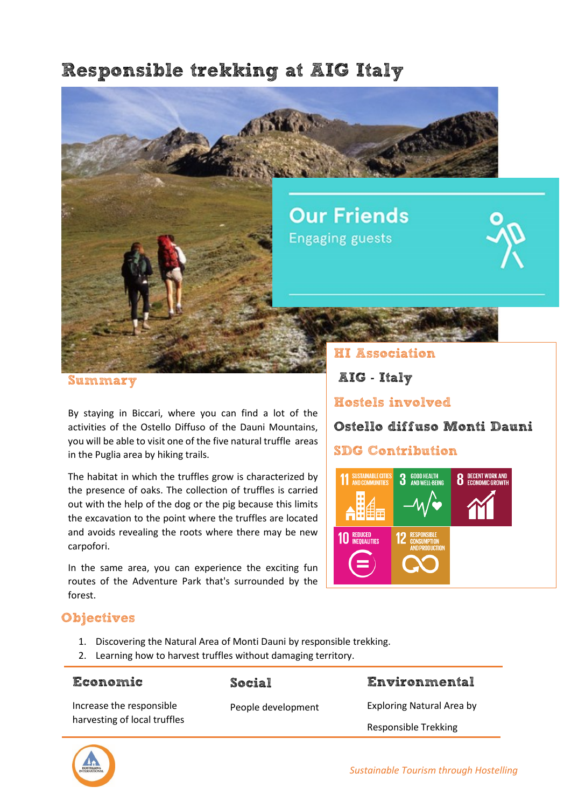# Responsible trekking at AIG Italy



Summary

By staying in Biccari, where you can find a lot of the activities of the Ostello Diffuso of the Dauni Mountains, you will be able to visit one of the five natural truffle areas in the Puglia area by hiking trails.

The habitat in which the truffles grow is characterized by the presence of oaks. The collection of truffles is carried out with the help of the dog or the pig because this limits the excavation to the point where the truffles are located and avoids revealing the roots where there may be new carpofori.

In the same area, you can experience the exciting fun routes of the Adventure Park that's surrounded by the forest.

AIG - Italy

Hostels involved

Ostello diffuso Monti Dauni

## SDG Contribution



## **Objectives**

- 1. Discovering the Natural Area of Monti Dauni by responsible trekking.
- 2. Learning how to harvest truffles without damaging territory.

| <b>Economic</b>                                          | Social             | Environmental               |
|----------------------------------------------------------|--------------------|-----------------------------|
| Increase the responsible<br>harvesting of local truffles | People development | Exploring Natural Area by   |
|                                                          |                    | <b>Responsible Trekking</b> |

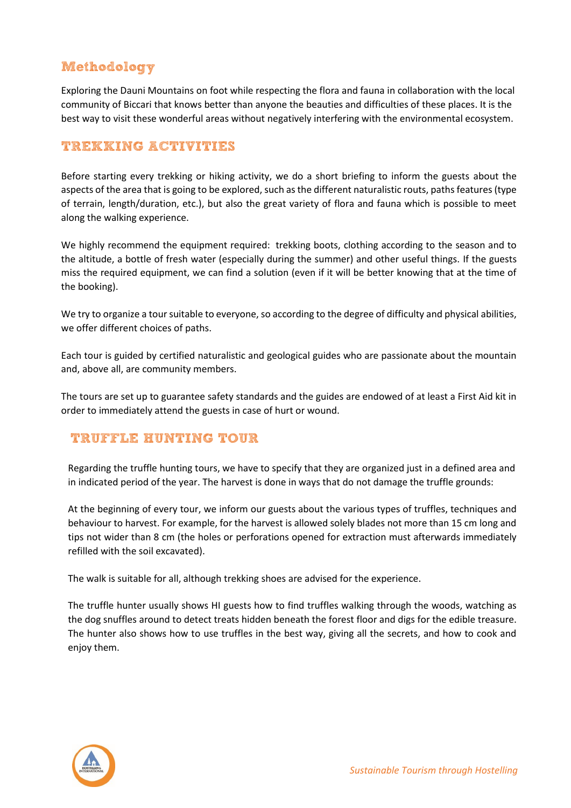# Methodology

Exploring the Dauni Mountains on foot while respecting the flora and fauna in collaboration with the local community of Biccari that knows better than anyone the beauties and difficulties of these places. It is the best way to visit these wonderful areas without negatively interfering with the environmental ecosystem.

### TREKKING ACTIVITIES

Before starting every trekking or hiking activity, we do a short briefing to inform the guests about the aspects of the area that is going to be explored, such as the different naturalistic routs, paths features (type of terrain, length/duration, etc.), but also the great variety of flora and fauna which is possible to meet along the walking experience.

We highly recommend the equipment required: trekking boots, clothing according to the season and to the altitude, a bottle of fresh water (especially during the summer) and other useful things. If the guests miss the required equipment, we can find a solution (even if it will be better knowing that at the time of the booking).

We try to organize a tour suitable to everyone, so according to the degree of difficulty and physical abilities, we offer different choices of paths.

Each tour is guided by certified naturalistic and geological guides who are passionate about the mountain and, above all, are community members.

The tours are set up to guarantee safety standards and the guides are endowed of at least a First Aid kit in order to immediately attend the guests in case of hurt or wound.

#### TRUFFLE HUNTING TOUR

Regarding the truffle hunting tours, we have to specify that they are organized just in a defined area and in indicated period of the year. The harvest is done in ways that do not damage the truffle grounds:

At the beginning of every tour, we inform our guests about the various types of truffles, techniques and behaviour to harvest. For example, for the harvest is allowed solely blades not more than 15 cm long and tips not wider than 8 cm (the holes or perforations opened for extraction must afterwards immediately refilled with the soil excavated).

The walk is suitable for all, although trekking shoes are advised for the experience.

The truffle hunter usually shows HI guests how to find truffles walking through the woods, watching as the dog snuffles around to detect treats hidden beneath the forest floor and digs for the edible treasure. The hunter also shows how to use truffles in the best way, giving all the secrets, and how to cook and enjoy them.